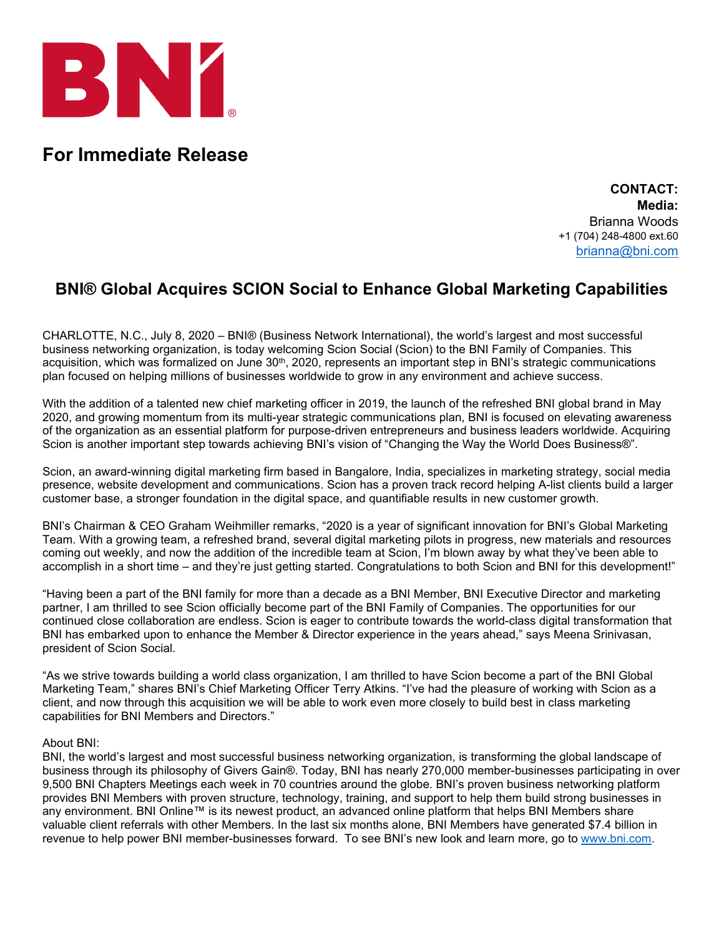

## **For Immediate Release**

**CONTACT: Media:** Brianna Woods +1 (704) 248-4800 ext.60 [brianna@bni.com](mailto:brianna@bni.com)

## **BNI® Global Acquires SCION Social to Enhance Global Marketing Capabilities**

CHARLOTTE, N.C., July 8, 2020 – BNI® (Business Network International), the world's largest and most successful business networking organization, is today welcoming Scion Social (Scion) to the BNI Family of Companies. This acquisition, which was formalized on June 30<sup>th</sup>, 2020, represents an important step in BNI's strategic communications plan focused on helping millions of businesses worldwide to grow in any environment and achieve success.

With the addition of a talented new chief marketing officer in 2019, the launch of the refreshed BNI global brand in May 2020, and growing momentum from its multi-year strategic communications plan, BNI is focused on elevating awareness of the organization as an essential platform for purpose-driven entrepreneurs and business leaders worldwide. Acquiring Scion is another important step towards achieving BNI's vision of "Changing the Way the World Does Business®".

Scion, an award-winning digital marketing firm based in Bangalore, India, specializes in marketing strategy, social media presence, website development and communications. Scion has a proven track record helping A-list clients build a larger customer base, a stronger foundation in the digital space, and quantifiable results in new customer growth.

BNI's Chairman & CEO Graham Weihmiller remarks, "2020 is a year of significant innovation for BNI's Global Marketing Team. With a growing team, a refreshed brand, several digital marketing pilots in progress, new materials and resources coming out weekly, and now the addition of the incredible team at Scion, I'm blown away by what they've been able to accomplish in a short time – and they're just getting started. Congratulations to both Scion and BNI for this development!"

"Having been a part of the BNI family for more than a decade as a BNI Member, BNI Executive Director and marketing partner, I am thrilled to see Scion officially become part of the BNI Family of Companies. The opportunities for our continued close collaboration are endless. Scion is eager to contribute towards the world-class digital transformation that BNI has embarked upon to enhance the Member & Director experience in the years ahead," says Meena Srinivasan, president of Scion Social.

"As we strive towards building a world class organization, I am thrilled to have Scion become a part of the BNI Global Marketing Team," shares BNI's Chief Marketing Officer Terry Atkins. "I've had the pleasure of working with Scion as a client, and now through this acquisition we will be able to work even more closely to build best in class marketing capabilities for BNI Members and Directors."

## About BNI:

BNI, the world's largest and most successful business networking organization, is transforming the global landscape of business through its philosophy of Givers Gain®. Today, BNI has nearly 270,000 member-businesses participating in over 9,500 BNI Chapters Meetings each week in 70 countries around the globe. BNI's proven business networking platform provides BNI Members with proven structure, technology, training, and support to help them build strong businesses in any environment. BNI Online™ is its newest product, an advanced online platform that helps BNI Members share valuable client referrals with other Members. In the last six months alone, BNI Members have generated \$7.4 billion in revenue to help power BNI member-businesses forward. To see BNI's new look and learn more, go to [www.bni.com.](http://www.bni.com/)